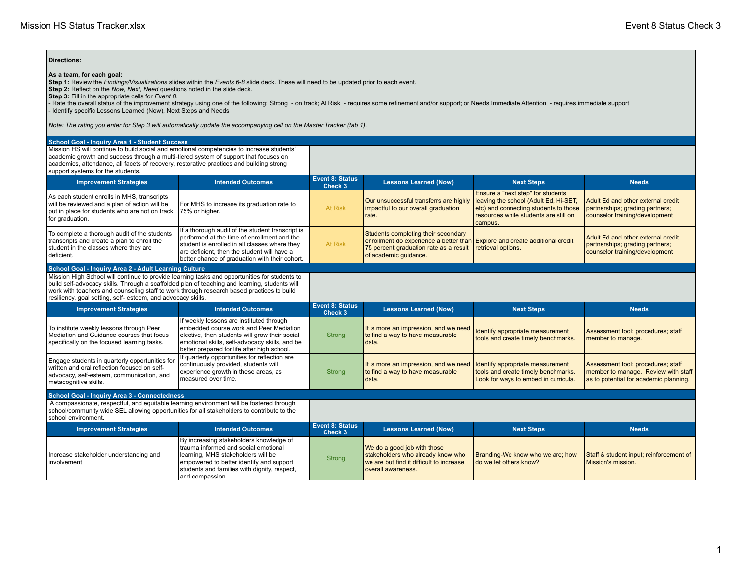## **Directions:**

**As a team, for each goal:**

**Step 1:** Review the *Findings/Visualizations* slides within the *Events 6-8* slide deck. These will need to be updated prior to each event.

**Step 2:** Reflect on the *Now, Next, Need* questions noted in the slide deck.

**Step 3:** Fill in the appropriate cells for *Event 8*.

- Rate the overall status of the improvement strategy using one of the following: Strong - on track; At Risk - requires some refinement and/or support; or Needs Immediate Attention - requires immediate support - Identify specific Lessons Learned (Now), Next Steps and Needs

*Note: The rating you enter for Step 3 will automatically update the accompanying cell on the Master Tracker (tab 1).*

## **School Goal - Inquiry Area 1 - Student Success**

Mission HS will continue to build social and emotional competencies to increase students' academic growth and success through a multi-tiered system of support that focuses on academics, attendance, all facets of recovery, restorative practices and building strong support systems for the students.

| Support systems for the students.                                                                                                                                                |                                                                                                                                                                                                                                                   |                                   |                                                                                                                                                                                                              |                                                                                                                                |                                                                                                         |  |
|----------------------------------------------------------------------------------------------------------------------------------------------------------------------------------|---------------------------------------------------------------------------------------------------------------------------------------------------------------------------------------------------------------------------------------------------|-----------------------------------|--------------------------------------------------------------------------------------------------------------------------------------------------------------------------------------------------------------|--------------------------------------------------------------------------------------------------------------------------------|---------------------------------------------------------------------------------------------------------|--|
| <b>Improvement Strategies</b>                                                                                                                                                    | <b>Intended Outcomes</b>                                                                                                                                                                                                                          | <b>Event 8: Status</b><br>Check 3 | <b>Lessons Learned (Now)</b>                                                                                                                                                                                 | <b>Next Steps</b>                                                                                                              | <b>Needs</b>                                                                                            |  |
| As each student enrolls in MHS, transcripts<br>will be reviewed and a plan of action will be<br>put in place for students who are not on track 75% or higher.<br>for graduation. | For MHS to increase its graduation rate to                                                                                                                                                                                                        | At Risk                           | Our unsuccessful transferrs are highly leaving the school (Adult Ed, Hi-SET,<br>impactful to our overall graduation<br>rate.                                                                                 | Ensure a "next step" for students<br>etc) and connecting students to those<br>resources while students are still on<br>campus. | Adult Ed and other external credit<br>partnerships; grading partners;<br>counselor training/development |  |
| To complete a thorough audit of the students<br>transcripts and create a plan to enroll the<br>student in the classes where they are<br>deficient.                               | If a thorough audit of the student transcript is<br>Derformed at the time of enrollment and the<br>student is enrolled in all classes where they<br>are deficient, then the student will have a<br>better chance of graduation with their cohort. | At Risk                           | Students completing their secondary<br>enrollment do experience a better than Explore and create additional credit<br>75 percent graduation rate as a result $ $ retrieval options.<br>of academic quidance. |                                                                                                                                | Adult Ed and other external credit<br>partnerships; grading partners;<br>counselor training/development |  |

**School Goal - Inquiry Area 2 - Adult Learning Culture**

Mission High School will continue to provide learning tasks and opportunities for students to build self-advocacy skills. Through a scaffolded plan of teaching and learning, students will work with teachers and counseling staff to work through research based practices to build resiliency, goal setting, self- esteem, and advocacy skills.

| <b>Improvement Strategies</b>                                                                                                                                                                                 | <b>Intended Outcomes</b>                                                                                                                                                                                                               | <b>Event 8: Status</b><br>Check 3 | <b>Lessons Learned (Now)</b>                                                                                                       | <b>Next Steps</b>                                                                                               | <b>Needs</b>                                                                                                        |
|---------------------------------------------------------------------------------------------------------------------------------------------------------------------------------------------------------------|----------------------------------------------------------------------------------------------------------------------------------------------------------------------------------------------------------------------------------------|-----------------------------------|------------------------------------------------------------------------------------------------------------------------------------|-----------------------------------------------------------------------------------------------------------------|---------------------------------------------------------------------------------------------------------------------|
| To institute weekly lessons through Peer<br>Mediation and Guidance courses that focus<br>specifically on the focused learning tasks.                                                                          | If weekly lessons are instituted through<br>embedded course work and Peer Mediation<br>elective, then students will grow their social<br>emotional skills, self-advocacy skills, and be<br>better prepared for life after high school. | Strong                            | It is more an impression, and we need<br>to find a way to have measurable<br>data.                                                 | Identify appropriate measurement<br>tools and create timely benchmarks.                                         | Assessment tool; procedures; staff<br>member to manage.                                                             |
| Engage students in quarterly opportunities for<br>written and oral reflection focused on self-<br>advocacy, self-esteem, communication, and<br>metacognitive skills.                                          | If quarterly opportunities for reflection are<br>continuously provided, students will<br>experience growth in these areas, as<br>measured over time.                                                                                   | Strong                            | It is more an impression, and we need<br>to find a way to have measurable<br>data.                                                 | Identify appropriate measurement<br>tools and create timely benchmarks.<br>Look for ways to embed in curricula. | Assessment tool; procedures; staff<br>member to manage. Review with staff<br>as to potential for academic planning. |
| <b>School Goal - Inquiry Area 3 - Connectedness</b>                                                                                                                                                           |                                                                                                                                                                                                                                        |                                   |                                                                                                                                    |                                                                                                                 |                                                                                                                     |
| A compassionate, respectful, and equitable learning environment will be fostered through<br>school/community wide SEL allowing opportunities for all stakeholders to contribute to the<br>school environment. |                                                                                                                                                                                                                                        |                                   |                                                                                                                                    |                                                                                                                 |                                                                                                                     |
| <b>Improvement Strategies</b>                                                                                                                                                                                 | <b>Intended Outcomes</b>                                                                                                                                                                                                               | <b>Event 8: Status</b><br>Check 3 | <b>Lessons Learned (Now)</b>                                                                                                       | <b>Next Steps</b>                                                                                               | <b>Needs</b>                                                                                                        |
| Increase stakeholder understanding and<br>linvolvement                                                                                                                                                        | By increasing stakeholders knowledge of<br>trauma informed and social emotional<br>learning, MHS stakeholders will be<br>empowered to better identify and support<br>students and families with dignity, respect,<br>and compassion.   | Strong                            | We do a good job with those<br>stakeholders who already know who<br>we are but find it difficult to increase<br>overall awareness. | Branding-We know who we are; how<br>do we let others know?                                                      | Staff & student input; reinforcement of<br>Mission's mission.                                                       |